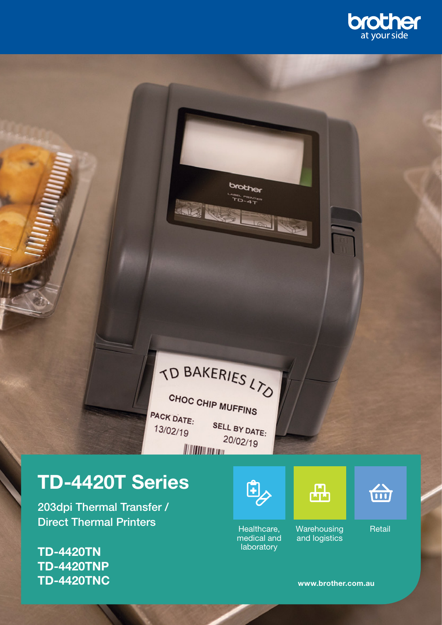

# TD BAKERIES LTO

CHOC CHIP MUFFINS PACK DATE: SELL BY DATE:  $13/02/19$  $20/02/19$ 

# TD-4420T Series

203dpi Thermal Transfer / Direct Thermal Printers

TD-4420TN TD-4420TNP TD-4420TNC



brother  $D - 4T$ 

Healthcare, medical and laboratory





Retail

台

www.brother.com.au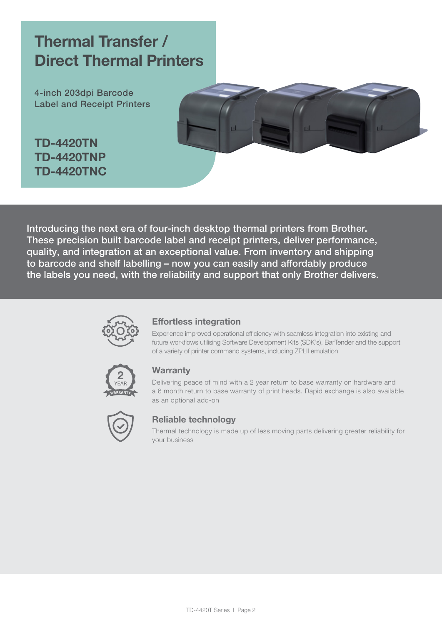## Thermal Transfer / Direct Thermal Printers

4-inch 203dpi Barcode Label and Receipt Printers

TD-4420TN TD-4420TNP TD-4420TNC



Introducing the next era of four-inch desktop thermal printers from Brother. These precision built barcode label and receipt printers, deliver performance, quality, and integration at an exceptional value. From inventory and shipping to barcode and shelf labelling – now you can easily and affordably produce the labels you need, with the reliability and support that only Brother delivers.



#### Effortless integration

Experience improved operational efficiency with seamless integration into existing and future workflows utilising Software Development Kits (SDK's), BarTender and the support of a variety of printer command systems, including ZPLII emulation



#### **Warranty**

Delivering peace of mind with a 2 year return to base warranty on hardware and a 6 month return to base warranty of print heads. Rapid exchange is also available as an optional add-on



#### Reliable technology

Thermal technology is made up of less moving parts delivering greater reliability for your business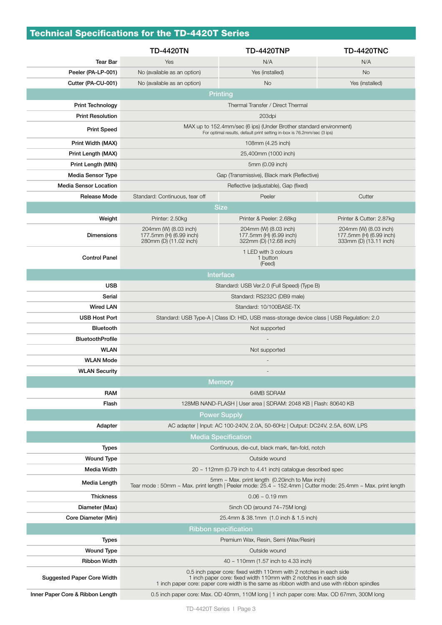## Technical Specifications for the TD-4420T Series

|                                   | <b>TD-4420TN</b>                                                                                                                                                                                                                       | <b>TD-4420TNP</b>                                                                         | <b>TD-4420TNC</b>                                                          |  |
|-----------------------------------|----------------------------------------------------------------------------------------------------------------------------------------------------------------------------------------------------------------------------------------|-------------------------------------------------------------------------------------------|----------------------------------------------------------------------------|--|
| <b>Tear Bar</b>                   | Yes                                                                                                                                                                                                                                    | N/A                                                                                       | N/A                                                                        |  |
| Peeler (PA-LP-001)                | No (available as an option)                                                                                                                                                                                                            | Yes (installed)                                                                           | <b>No</b>                                                                  |  |
| Cutter (PA-CU-001)                | No (available as an option)                                                                                                                                                                                                            | No.                                                                                       | Yes (installed)                                                            |  |
|                                   | <b>Printing</b>                                                                                                                                                                                                                        |                                                                                           |                                                                            |  |
| <b>Print Technology</b>           | Thermal Transfer / Direct Thermal                                                                                                                                                                                                      |                                                                                           |                                                                            |  |
| <b>Print Resolution</b>           |                                                                                                                                                                                                                                        | 203dpi                                                                                    |                                                                            |  |
| <b>Print Speed</b>                | MAX up to 152.4mm/sec (6 ips) (Under Brother standard environment)<br>For optimal results, default print setting in-box is 76.2mm/sec (3 ips)                                                                                          |                                                                                           |                                                                            |  |
| Print Width (MAX)                 | 108mm (4.25 inch)                                                                                                                                                                                                                      |                                                                                           |                                                                            |  |
| Print Length (MAX)                | 25,400mm (1000 inch)                                                                                                                                                                                                                   |                                                                                           |                                                                            |  |
| Print Length (MIN)                | 5mm (0.09 inch)                                                                                                                                                                                                                        |                                                                                           |                                                                            |  |
| Media Sensor Type                 | Gap (Transmissive), Black mark (Reflective)                                                                                                                                                                                            |                                                                                           |                                                                            |  |
| <b>Media Sensor Location</b>      | Reflective (adjustable), Gap (fixed)                                                                                                                                                                                                   |                                                                                           |                                                                            |  |
| <b>Release Mode</b>               | Standard: Continuous, tear off                                                                                                                                                                                                         | Peeler                                                                                    | Cutter                                                                     |  |
|                                   |                                                                                                                                                                                                                                        | <b>Size</b>                                                                               |                                                                            |  |
| Weight                            | Printer: 2.50kg                                                                                                                                                                                                                        | Printer & Peeler: 2.68kg                                                                  | Printer & Cutter: 2.87kg                                                   |  |
| <b>Dimensions</b>                 | 204mm (W) (8.03 inch)<br>177.5mm (H) (6.99 inch)<br>280mm (D) (11.02 inch)                                                                                                                                                             | 204mm (W) (8.03 inch)<br>177.5mm (H) (6.99 inch)<br>322mm (D) (12.68 inch)                | 204mm (W) (8.03 inch)<br>177.5mm (H) (6.99 inch)<br>333mm (D) (13.11 inch) |  |
| <b>Control Panel</b>              |                                                                                                                                                                                                                                        | 1 LED with 3 colours<br>1 button<br>(Feed)                                                |                                                                            |  |
|                                   |                                                                                                                                                                                                                                        | Interface                                                                                 |                                                                            |  |
| <b>USB</b>                        | Standard: USB Ver.2.0 (Full Speed) (Type B)                                                                                                                                                                                            |                                                                                           |                                                                            |  |
| Serial                            | Standard: RS232C (DB9 male)                                                                                                                                                                                                            |                                                                                           |                                                                            |  |
| <b>Wired LAN</b>                  | Standard: 10/100BASE-TX                                                                                                                                                                                                                |                                                                                           |                                                                            |  |
| <b>USB Host Port</b>              | Standard: USB Type-A   Class ID: HID, USB mass-storage device class   USB Regulation: 2.0                                                                                                                                              |                                                                                           |                                                                            |  |
| Bluetooth                         | Not supported                                                                                                                                                                                                                          |                                                                                           |                                                                            |  |
| <b>BluetoothProfile</b>           |                                                                                                                                                                                                                                        |                                                                                           |                                                                            |  |
| <b>WLAN</b>                       | Not supported                                                                                                                                                                                                                          |                                                                                           |                                                                            |  |
| <b>WLAN Mode</b>                  |                                                                                                                                                                                                                                        |                                                                                           |                                                                            |  |
| <b>WLAN Security</b>              |                                                                                                                                                                                                                                        |                                                                                           |                                                                            |  |
|                                   | <b>Memory</b>                                                                                                                                                                                                                          |                                                                                           |                                                                            |  |
| <b>RAM</b>                        | 64MB SDRAM                                                                                                                                                                                                                             |                                                                                           |                                                                            |  |
| Flash                             | 128MB NAND-FLASH   User area   SDRAM: 2048 KB   Flash: 80640 KB                                                                                                                                                                        |                                                                                           |                                                                            |  |
|                                   | <b>Power Supply</b>                                                                                                                                                                                                                    |                                                                                           |                                                                            |  |
| Adapter                           | AC adapter   Input: AC 100-240V, 2.0A, 50-60Hz   Output: DC24V, 2.5A, 60W, LPS                                                                                                                                                         |                                                                                           |                                                                            |  |
|                                   | <b>Media Specification</b>                                                                                                                                                                                                             |                                                                                           |                                                                            |  |
| <b>Types</b>                      | Continuous, die-cut, black mark, fan-fold, notch                                                                                                                                                                                       |                                                                                           |                                                                            |  |
| <b>Wound Type</b>                 | Outside wound                                                                                                                                                                                                                          |                                                                                           |                                                                            |  |
| Media Width                       | $20 \sim 112$ mm (0.79 inch to 4.41 inch) catalogue described spec                                                                                                                                                                     |                                                                                           |                                                                            |  |
| Media Length                      | $5mm \sim$ Max. print length (0.20inch to Max inch)<br>Tear mode: 50mm ~ Max. print length   Peeler mode: $25.4 \sim 152.4$ mm   Cutter mode: $25.4$ mm ~ Max. print length                                                            |                                                                                           |                                                                            |  |
| <b>Thickness</b>                  | $0.06 \sim 0.19$ mm                                                                                                                                                                                                                    |                                                                                           |                                                                            |  |
| Diameter (Max)                    | 5inch OD (around 74~75M long)                                                                                                                                                                                                          |                                                                                           |                                                                            |  |
| Core Diameter (Min)               | 25.4mm & 38.1mm (1.0 inch & 1.5 inch)                                                                                                                                                                                                  |                                                                                           |                                                                            |  |
|                                   |                                                                                                                                                                                                                                        | <b>Ribbon specification</b>                                                               |                                                                            |  |
| <b>Types</b>                      | Premium Wax, Resin, Semi (Wax/Resin)                                                                                                                                                                                                   |                                                                                           |                                                                            |  |
| <b>Wound Type</b>                 | Outside wound                                                                                                                                                                                                                          |                                                                                           |                                                                            |  |
| <b>Ribbon Width</b>               | $40 \sim 110$ mm (1.57 inch to 4.33 inch)                                                                                                                                                                                              |                                                                                           |                                                                            |  |
| <b>Suggested Paper Core Width</b> | 0.5 inch paper core: fixed width 110mm with 2 notches in each side<br>1 inch paper core: fixed width 110mm with 2 notches in each side<br>1 inch paper core: paper core width is the same as ribbon width and use with ribbon spindles |                                                                                           |                                                                            |  |
| Inner Paper Core & Ribbon Length  |                                                                                                                                                                                                                                        | 0.5 inch paper core: Max. OD 40mm, 110M long   1 inch paper core: Max. OD 67mm, 300M long |                                                                            |  |